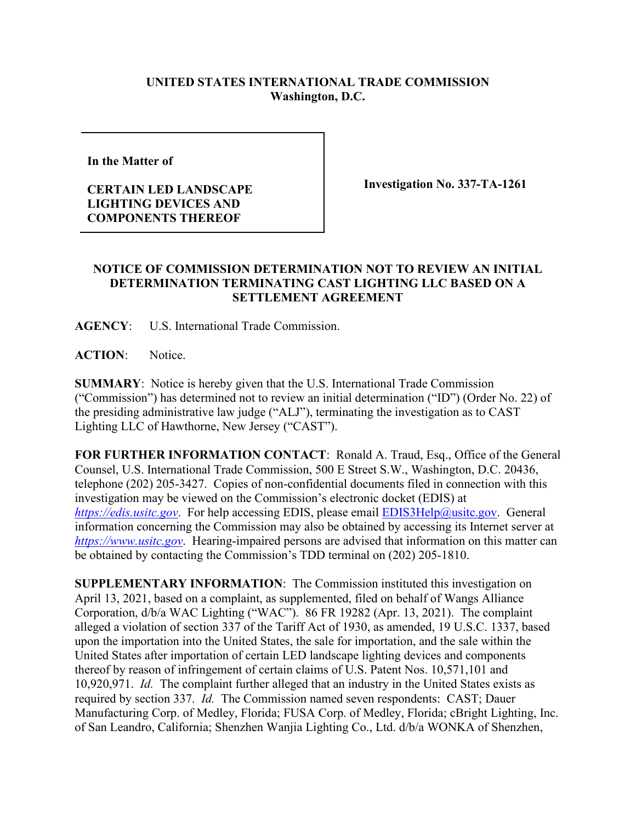## **UNITED STATES INTERNATIONAL TRADE COMMISSION Washington, D.C.**

**In the Matter of** 

## **CERTAIN LED LANDSCAPE LIGHTING DEVICES AND COMPONENTS THEREOF**

**Investigation No. 337-TA-1261**

## **NOTICE OF COMMISSION DETERMINATION NOT TO REVIEW AN INITIAL DETERMINATION TERMINATING CAST LIGHTING LLC BASED ON A SETTLEMENT AGREEMENT**

**AGENCY**: U.S. International Trade Commission.

**ACTION**: Notice.

**SUMMARY**: Notice is hereby given that the U.S. International Trade Commission ("Commission") has determined not to review an initial determination ("ID") (Order No. 22) of the presiding administrative law judge ("ALJ"), terminating the investigation as to CAST Lighting LLC of Hawthorne, New Jersey ("CAST").

**FOR FURTHER INFORMATION CONTACT**: Ronald A. Traud, Esq., Office of the General Counsel, U.S. International Trade Commission, 500 E Street S.W., Washington, D.C. 20436, telephone (202) 205-3427. Copies of non-confidential documents filed in connection with this investigation may be viewed on the Commission's electronic docket (EDIS) at *[https://edis.usitc.gov](https://edis.usitc.gov/).* For help accessing EDIS, please email [EDIS3Help@usitc.gov.](mailto:EDIS3Help@usitc.gov) General information concerning the Commission may also be obtained by accessing its Internet server at *[https://www.usitc.gov](https://www.usitc.gov/)*. Hearing-impaired persons are advised that information on this matter can be obtained by contacting the Commission's TDD terminal on (202) 205-1810.

**SUPPLEMENTARY INFORMATION**: The Commission instituted this investigation on April 13, 2021, based on a complaint, as supplemented, filed on behalf of Wangs Alliance Corporation, d/b/a WAC Lighting ("WAC"). 86 FR 19282 (Apr. 13, 2021). The complaint alleged a violation of section 337 of the Tariff Act of 1930, as amended, 19 U.S.C. 1337, based upon the importation into the United States, the sale for importation, and the sale within the United States after importation of certain LED landscape lighting devices and components thereof by reason of infringement of certain claims of U.S. Patent Nos. 10,571,101 and 10,920,971. *Id.* The complaint further alleged that an industry in the United States exists as required by section 337. *Id.* The Commission named seven respondents: CAST; Dauer Manufacturing Corp. of Medley, Florida; FUSA Corp. of Medley, Florida; cBright Lighting, Inc. of San Leandro, California; Shenzhen Wanjia Lighting Co., Ltd. d/b/a WONKA of Shenzhen,